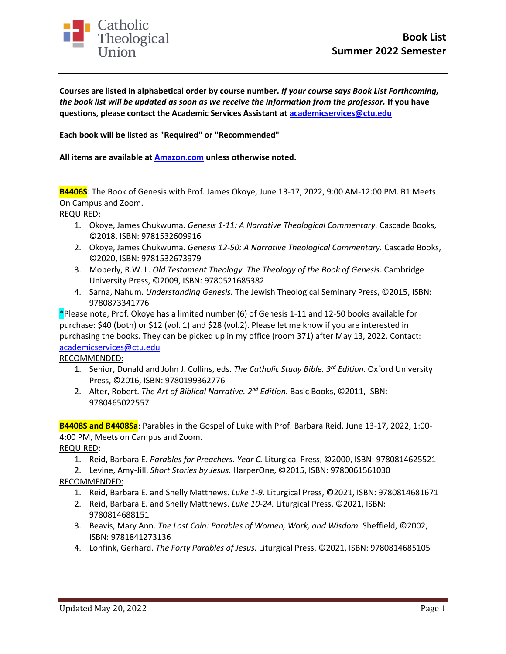

**Courses are listed in alphabetical order by course number.** *If your course says Book List Forthcoming, the book list will be updated as soon as we receive the information from the professor.* **If you have questions, please contact the Academic Services Assistant at [academicservices@ctu.edu](mailto:academicservices@ctu.edu)**

**Each book will be listed as "Required" or "Recommended"**

**All items are available at [Amazon.com](https://www.amazon.com/gp/product/038549419X/ref=as_li_tl?ie=UTF8&tag=caththeounio-20&camp=1789&creative=9325&linkCode=as2&creativeASIN=038549419X&linkId=97714ba426c7d8fc8ea49c795c3d0d83) unless otherwise noted.**

**B4406S**: The Book of Genesis with Prof. James Okoye, June 13-17, 2022, 9:00 AM-12:00 PM. B1 Meets On Campus and Zoom.

REQUIRED:

- 1. Okoye, James Chukwuma. *Genesis 1-11: A Narrative Theological Commentary.* Cascade Books, ©2018, ISBN: 9781532609916
- 2. Okoye, James Chukwuma. *Genesis 12-50: A Narrative Theological Commentary.* Cascade Books, ©2020, ISBN: 9781532673979
- 3. Moberly, R.W. L. *Old Testament Theology. The Theology of the Book of Genesis.* Cambridge University Press, ©2009, ISBN: 9780521685382
- 4. Sarna, Nahum. *Understanding Genesis.* The Jewish Theological Seminary Press, ©2015, ISBN: 9780873341776

\*Please note, Prof. Okoye has a limited number (6) of Genesis 1-11 and 12-50 books available for purchase: \$40 (both) or \$12 (vol. 1) and \$28 (vol.2). Please let me know if you are interested in purchasing the books. They can be picked up in my office (room 371) after May 13, 2022. Contact: [academicservices@ctu.edu](mailto:academicservices@ctu.edu)

RECOMMENDED:

- 1. Senior, Donald and John J. Collins, eds. *The Catholic Study Bible. 3rd Edition.* Oxford University Press, ©2016, ISBN: 9780199362776
- 2. Alter, Robert. *The Art of Biblical Narrative. 2nd Edition.* Basic Books, ©2011, ISBN: 9780465022557

**B4408S and B4408Sa**: Parables in the Gospel of Luke with Prof. Barbara Reid, June 13-17, 2022, 1:00- 4:00 PM, Meets on Campus and Zoom.

REQUIRED:

1. Reid, Barbara E. *Parables for Preachers. Year C.* Liturgical Press, ©2000, ISBN: 9780814625521

2. Levine, Amy-Jill. *Short Stories by Jesus.* HarperOne, ©2015, ISBN: 9780061561030

RECOMMENDED:

- 1. Reid, Barbara E. and Shelly Matthews. *Luke 1-9.* Liturgical Press, ©2021, ISBN: 9780814681671
- 2. Reid, Barbara E. and Shelly Matthews. *Luke 10-24.* Liturgical Press, ©2021, ISBN: 9780814688151
- 3. Beavis, Mary Ann. *The Lost Coin: Parables of Women, Work, and Wisdom.* Sheffield, ©2002, ISBN: 9781841273136
- 4. Lohfink, Gerhard. *The Forty Parables of Jesus.* Liturgical Press, ©2021, ISBN: 9780814685105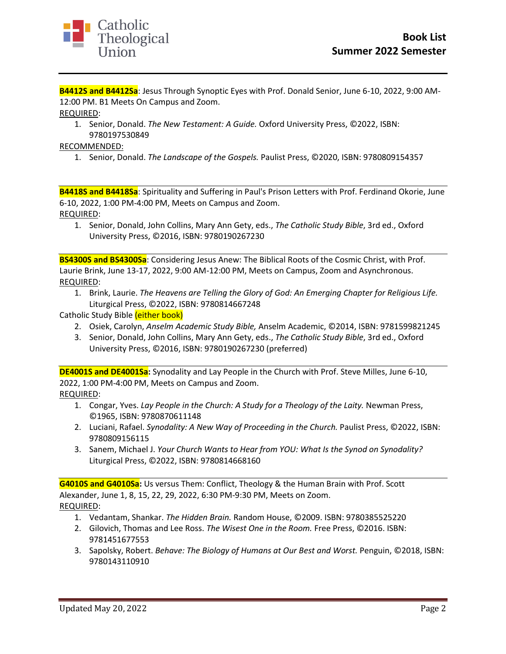

**B4412S and B4412Sa**: Jesus Through Synoptic Eyes with Prof. Donald Senior, June 6-10, 2022, 9:00 AM-12:00 PM. B1 Meets On Campus and Zoom.

REQUIRED:

1. Senior, Donald. *The New Testament: A Guide.* Oxford University Press, ©2022, ISBN: 9780197530849

RECOMMENDED:

1. Senior, Donald. *The Landscape of the Gospels.* Paulist Press, ©2020, ISBN: 9780809154357

**B4418S and B4418Sa**: Spirituality and Suffering in Paul's Prison Letters with Prof. Ferdinand Okorie, June 6-10, 2022, 1:00 PM-4:00 PM, Meets on Campus and Zoom. REQUIRED:

1. Senior, Donald, John Collins, Mary Ann Gety, eds., *The Catholic Study Bible*, 3rd ed., Oxford University Press, ©2016, ISBN: 9780190267230

**BS4300S and BS4300Sa**: Considering Jesus Anew: The Biblical Roots of the Cosmic Christ, with Prof. Laurie Brink, June 13-17, 2022, 9:00 AM-12:00 PM, Meets on Campus, Zoom and Asynchronous. REQUIRED:

- 1. Brink, Laurie. *The Heavens are Telling the Glory of God: An Emerging Chapter for Religious Life.*  Liturgical Press, ©2022, ISBN: 9780814667248
- Catholic Study Bible (either book)
	- 2. Osiek, Carolyn, *Anselm Academic Study Bible,* Anselm Academic, ©2014, ISBN: 9781599821245
	- 3. Senior, Donald, John Collins, Mary Ann Gety, eds., *The Catholic Study Bible*, 3rd ed., Oxford University Press, ©2016, ISBN: 9780190267230 (preferred)

**DE4001S and DE4001Sa:** Synodality and Lay People in the Church with Prof. Steve Milles, June 6-10, 2022, 1:00 PM-4:00 PM, Meets on Campus and Zoom.

REQUIRED:

- 1. Congar, Yves. *Lay People in the Church: A Study for a Theology of the Laity.* Newman Press, ©1965, ISBN: 9780870611148
- 2. Luciani, Rafael. *Synodality: A New Way of Proceeding in the Church.* Paulist Press, ©2022, ISBN: 9780809156115
- 3. Sanem, Michael J. *Your Church Wants to Hear from YOU: What Is the Synod on Synodality?* Liturgical Press, ©2022, ISBN: 9780814668160

**G4010S and G4010Sa:** Us versus Them: Conflict, Theology & the Human Brain with Prof. Scott Alexander, June 1, 8, 15, 22, 29, 2022, 6:30 PM-9:30 PM, Meets on Zoom. REQUIRED:

- 1. Vedantam, Shankar. *The Hidden Brain.* Random House, ©2009. ISBN: 9780385525220
- 2. Gilovich, Thomas and Lee Ross. *The Wisest One in the Room.* Free Press, ©2016. ISBN: 9781451677553
- 3. Sapolsky, Robert. *Behave: The Biology of Humans at Our Best and Worst.* Penguin, ©2018, ISBN: 9780143110910